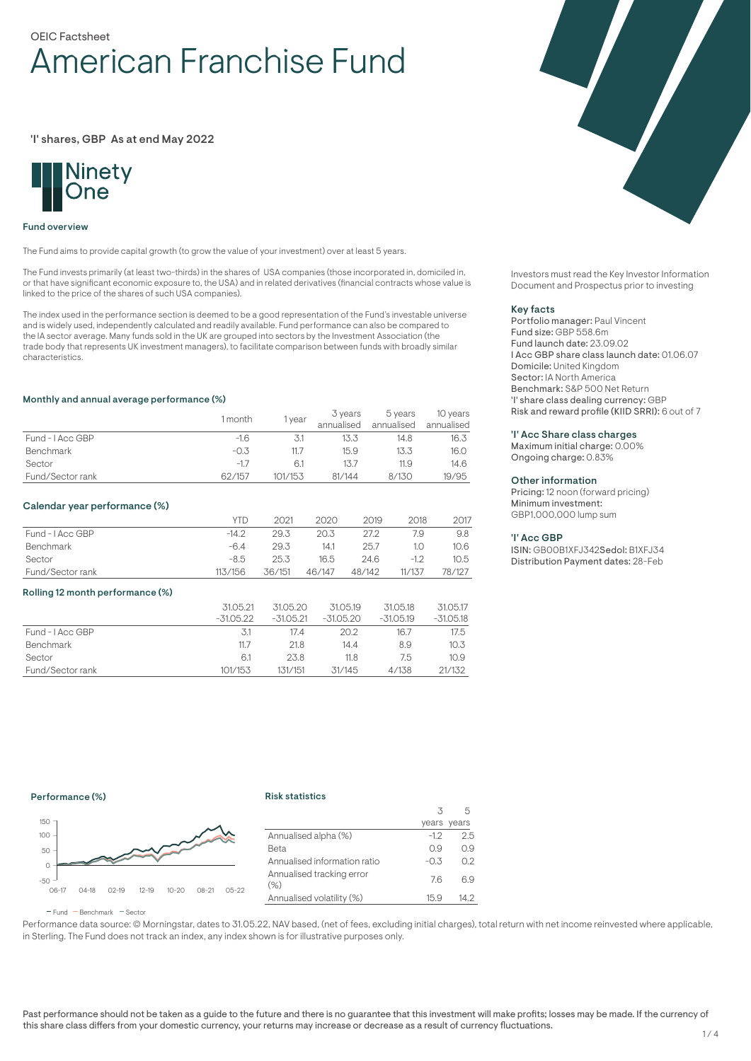# OEIC Factsheet American Franchise Fund

'I' shares, GBP As at end May 2022



#### Fund overview

The Fund aims to provide capital growth (to grow the value of your investment) over at least 5 years.

The Fund invests primarily (at least two-thirds) in the shares of USA companies (those incorporated in, domiciled in, or that have significant economic exposure to, the USA) and in related derivatives (financial contracts whose value is linked to the price of the shares of such USA companies).

The index used in the performance section is deemed to be a good representation of the Fund's investable universe and is widely used, independently calculated and readily available. Fund performance can also be compared to the IA sector average. Many funds sold in the UK are grouped into sectors by the Investment Association (the trade body that represents UK investment managers), to facilitate comparison between funds with broadly similar characteristics.

#### Monthly and annual average performance (%)

|                  | 1 month | year    | 3 years<br>annualised | 5 years<br>annualised | 10 years<br>annualised |
|------------------|---------|---------|-----------------------|-----------------------|------------------------|
| Fund - I Acc GBP | $-1.6$  |         | 13.3                  | 14.8                  | 16.3                   |
| <b>Benchmark</b> | $-0.3$  | 11.7    | 15.9                  | 13.3                  | 16.0                   |
| Sector           | $-1.7$  | 6.1     |                       | 11.9                  | 14.6                   |
| Fund/Sector rank | 62/157  | 101/153 | 81/144                | 8/130                 | 19/95                  |

#### Calendar year performance (%)

|                  | YTD     | 2021   | 2020   | 2019   | 2018   | 2017   |
|------------------|---------|--------|--------|--------|--------|--------|
| Fund - I Acc GBP | $-14.2$ | 29.3   | 20.3   | 27.2   | 7.9    | 9.8    |
| Benchmark        | $-6.4$  | 29.3   | 14.1   | 25.7   | 1.0    | 10.6   |
| Sector           | $-8.5$  | 25.3   | 16.5   | 24.6   | $-12$  | 10.5   |
| Fund/Sector rank | 113/156 | 36/151 | 46/147 | 48/142 | 11/137 | 78/127 |

#### Rolling 12 month performance (%)

|                  | 31.05.21<br>$-31.05.22$ | 31.05.20<br>$-31.05.21$ | 31.05.19<br>$-31.05.20$ | 31.05.18<br>$-31.05.19$ | 31.05.17<br>$-31.05.18$ |
|------------------|-------------------------|-------------------------|-------------------------|-------------------------|-------------------------|
| Fund - LAcc GBP  | -3.1                    | 17.4                    | 20.2                    | 16.7                    | 17.5                    |
| <b>Benchmark</b> | 11.7                    | 21.8                    | 14.4                    | 8.9                     | 10.3                    |
| Sector           | 6.1                     | 23.8                    | 11.8                    | 7.5                     | 10.9 <sup>°</sup>       |
| Fund/Sector rank | 101/153                 | 131/151                 | 31/145                  | 4/138                   | 21/132                  |

Investors must read the Key Investor Information Document and Prospectus prior to investing

#### Key facts

Portfolio manager: Paul Vincent Fund size: GBP 558.6m Fund launch date: 23.09.02 I Acc GBP share class launch date: 01.06.07 Domicile: United Kingdom Sector: IA North America Benchmark: S&P 500 Net Return 'I' share class dealing currency: GBP Risk and reward profile (KIID SRRI): 6 out of 7

#### 'I' Acc Share class charges

Maximum initial charge: 0.00% Ongoing charge: 0.83%

#### Other information

Pricing: 12 noon (forward pricing) Minimum investment: GBP1,000,000 lump sum

#### 'I' Acc GBP

ISIN: GB00B1XFJ342Sedol: B1XFJ34 Distribution Payment dates: 28-Feb

# Performance (%)

#### Risk statistics



|                                     |        | years years |
|-------------------------------------|--------|-------------|
| Annualised alpha (%)                | $-1.2$ | 2.5         |
| Beta                                | 0.9    | 0.9         |
| Annualised information ratio        | $-0.3$ | 0.2         |
| Annualised tracking error<br>$(\%)$ | 7.6    | 69          |
| Annualised volatility (%)           | 15.9   | 14.2        |
|                                     |        |             |

 $\overline{\mathbf{3}}$ 

5

 $F$ und  $B$ Benchmark  $F$ Sector

Performance data source: © Morningstar, dates to 31.05.22, NAV based, (net of fees, excluding initial charges), total return with net income reinvested where applicable, in Sterling. The Fund does not track an index, any index shown is for illustrative purposes only.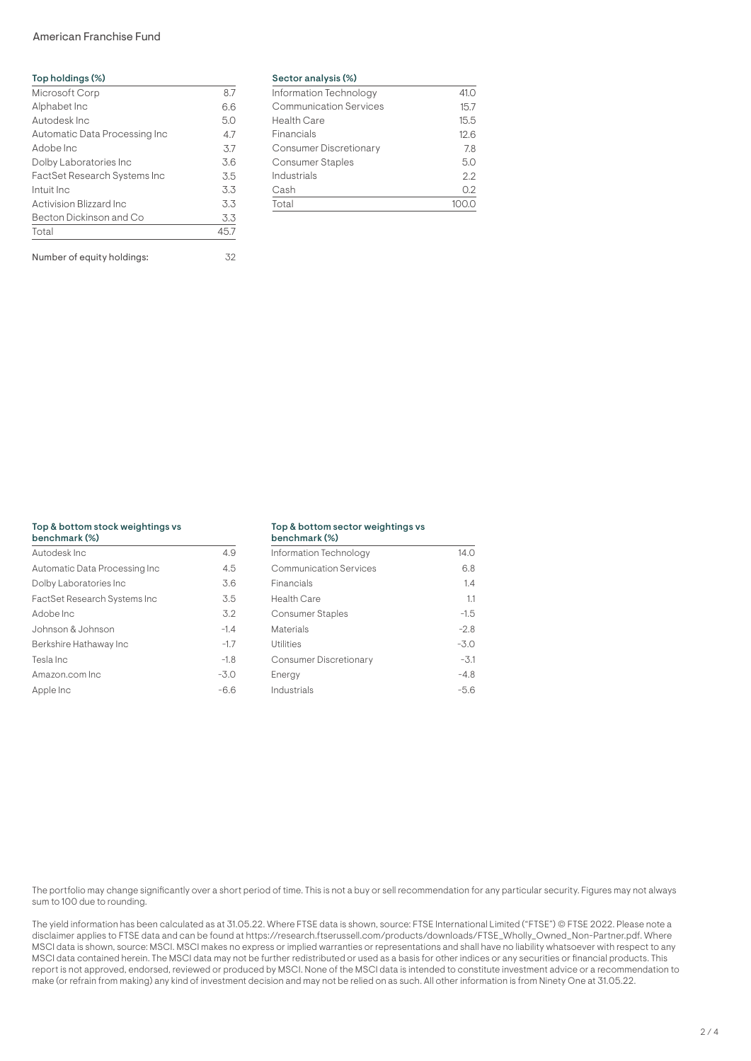# American Franchise Fund

| Top holdings (%)                    |      |
|-------------------------------------|------|
| Microsoft Corp                      | 8.7  |
| Alphabet Inc                        | 6.6  |
| Autodesk Inc.                       | 5.0  |
| Automatic Data Processing Inc       | 47   |
| Adobe Inc                           | 3.7  |
| Dolby Laboratories Inc              | 3.6  |
| <b>FactSet Research Systems Inc</b> | 3.5  |
| Intuit Inc.                         | 3.3  |
| Activision Blizzard Inc             | 3.3  |
| Becton Dickinson and Co             | 3.3  |
| Total                               | 45.7 |

Number of equity holdings: 32

#### Sector analysis (%)

| Information Technology        | 41.0 |
|-------------------------------|------|
| <b>Communication Services</b> | 15.7 |
| <b>Health Care</b>            | 15.5 |
| Financials                    | 12.6 |
| <b>Consumer Discretionary</b> | 7.8  |
| <b>Consumer Staples</b>       | 5.0  |
| Industrials                   | 2.2  |
| Cash                          | 0.2  |
| Total                         |      |

#### Top & bottom stock weightings vs

| 4.9    |
|--------|
| 4.5    |
| 3.6    |
| 3.5    |
| 3.2    |
| $-1.4$ |
| $-1.7$ |
| $-1.8$ |
| $-3.0$ |
| $-6.6$ |
|        |

#### Top & bottom sector weightings vs benchmark (%)

| <b>DUILLING NAVOL</b>  |        |
|------------------------|--------|
| Information Technology | 14.0   |
| Communication Services | 6.8    |
| Financials             | 1.4    |
| <b>Health Care</b>     | 1.1    |
| Consumer Staples       | $-1.5$ |
| Materials              | $-2.8$ |
| Utilities              | $-3.0$ |
| Consumer Discretionary | $-3.1$ |
| Energy                 | $-4.8$ |
| Industrials            | -5.6   |
|                        |        |

The portfolio may change significantly over a short period of time. This is not a buy or sell recommendation for any particular security. Figures may not always sum to 100 due to rounding.

The yield information has been calculated as at 31.05.22. Where FTSE data is shown, source: FTSE International Limited ("FTSE") © FTSE 2022. Please note a disclaimer applies to FTSE data and can be found at https://research.ftserussell.com/products/downloads/FTSE\_Wholly\_Owned\_Non-Partner.pdf. Where MSCI data is shown, source: MSCI. MSCI makes no express or implied warranties or representations and shall have no liability whatsoever with respect to any MSCI data contained herein. The MSCI data may not be further redistributed or used as a basis for other indices or any securities or financial products. This report is not approved, endorsed, reviewed or produced by MSCI. None of the MSCI data is intended to constitute investment advice or a recommendation to make (or refrain from making) any kind of investment decision and may not be relied on as such. All other information is from Ninety One at 31.05.22.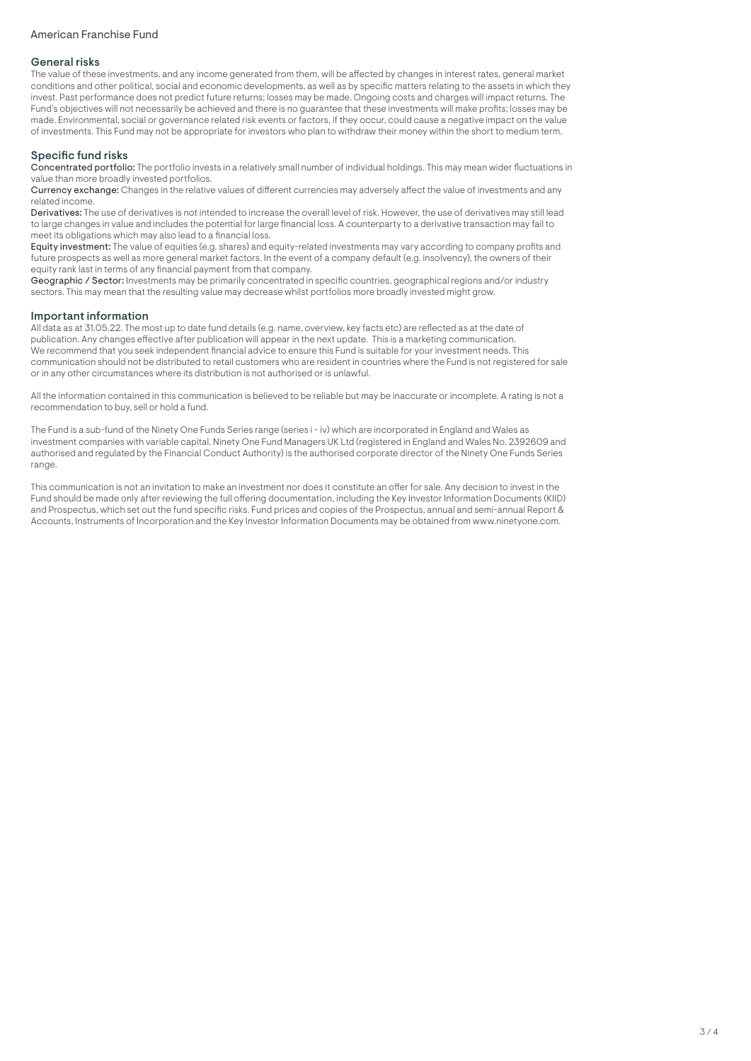# American Franchise Fund

### General risks

The value of these investments, and any income generated from them, will be affected by changes in interest rates, general market conditions and other political, social and economic developments, as well as by specific matters relating to the assets in which they invest. Past performance does not predict future returns; losses may be made. Ongoing costs and charges will impact returns. The Fund's objectives will not necessarily be achieved and there is no guarantee that these investments will make profits; losses may be made. Environmental, social or governance related risk events or factors, if they occur, could cause a negative impact on the value of investments. This Fund may not be appropriate for investors who plan to withdraw their money within the short to medium term.

# Specific fund risks

Concentrated portfolio: The portfolio invests in a relatively small number of individual holdings. This may mean wider fluctuations in value than more broadly invested portfolios.

Currency exchange: Changes in the relative values of different currencies may adversely affect the value of investments and any related income.

Derivatives: The use of derivatives is not intended to increase the overall level of risk. However, the use of derivatives may still lead to large changes in value and includes the potential for large financial loss. A counterparty to a derivative transaction may fail to meet its obligations which may also lead to a financial loss.

Equity investment: The value of equities (e.g. shares) and equity-related investments may vary according to company profits and future prospects as well as more general market factors. In the event of a company default (e.g. insolvency), the owners of their equity rank last in terms of any financial payment from that company.

Geographic / Sector: Investments may be primarily concentrated in specific countries, geographical regions and/or industry sectors. This may mean that the resulting value may decrease whilst portfolios more broadly invested might grow.

## Important information

All data as at 31.05.22. The most up to date fund details (e.g. name, overview, key facts etc) are reflected as at the date of publication. Any changes effective after publication will appear in the next update. This is a marketing communication. We recommend that you seek independent financial advice to ensure this Fund is suitable for your investment needs. This communication should not be distributed to retail customers who are resident in countries where the Fund is not registered for sale or in any other circumstances where its distribution is not authorised or is unlawful.

All the information contained in this communication is believed to be reliable but may be inaccurate or incomplete. A rating is not a recommendation to buy, sell or hold a fund.

The Fund is a sub-fund of the Ninety One Funds Series range (series i - iv) which are incorporated in England and Wales as investment companies with variable capital. Ninety One Fund Managers UK Ltd (registered in England and Wales No. 2392609 and authorised and regulated by the Financial Conduct Authority) is the authorised corporate director of the Ninety One Funds Series range.

This communication is not an invitation to make an investment nor does it constitute an offer for sale. Any decision to invest in the Fund should be made only after reviewing the full offering documentation, including the Key Investor Information Documents (KIID) and Prospectus, which set out the fund specific risks. Fund prices and copies of the Prospectus, annual and semi-annual Report & Accounts, Instruments of Incorporation and the Key Investor Information Documents may be obtained from www.ninetyone.com.